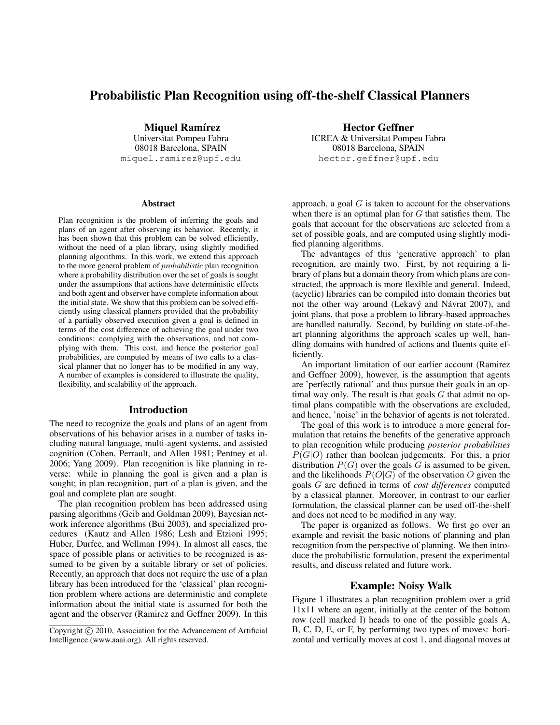# Probabilistic Plan Recognition using off-the-shelf Classical Planners

Miquel Ramírez

Universitat Pompeu Fabra 08018 Barcelona, SPAIN miquel.ramirez@upf.edu

#### **Abstract**

Plan recognition is the problem of inferring the goals and plans of an agent after observing its behavior. Recently, it has been shown that this problem can be solved efficiently, without the need of a plan library, using slightly modified planning algorithms. In this work, we extend this approach to the more general problem of *probabilistic* plan recognition where a probability distribution over the set of goals is sought under the assumptions that actions have deterministic effects and both agent and observer have complete information about the initial state. We show that this problem can be solved efficiently using classical planners provided that the probability of a partially observed execution given a goal is defined in terms of the cost difference of achieving the goal under two conditions: complying with the observations, and not complying with them. This cost, and hence the posterior goal probabilities, are computed by means of two calls to a classical planner that no longer has to be modified in any way. A number of examples is considered to illustrate the quality, flexibility, and scalability of the approach.

## Introduction

The need to recognize the goals and plans of an agent from observations of his behavior arises in a number of tasks including natural language, multi-agent systems, and assisted cognition (Cohen, Perrault, and Allen 1981; Pentney et al. 2006; Yang 2009). Plan recognition is like planning in reverse: while in planning the goal is given and a plan is sought; in plan recognition, part of a plan is given, and the goal and complete plan are sought.

The plan recognition problem has been addressed using parsing algorithms (Geib and Goldman 2009), Bayesian network inference algorithms (Bui 2003), and specialized procedures (Kautz and Allen 1986; Lesh and Etzioni 1995; Huber, Durfee, and Wellman 1994). In almost all cases, the space of possible plans or activities to be recognized is assumed to be given by a suitable library or set of policies. Recently, an approach that does not require the use of a plan library has been introduced for the 'classical' plan recognition problem where actions are deterministic and complete information about the initial state is assumed for both the agent and the observer (Ramirez and Geffner 2009). In this

Hector Geffner ICREA & Universitat Pompeu Fabra 08018 Barcelona, SPAIN hector.geffner@upf.edu

approach, a goal  $G$  is taken to account for the observations when there is an optimal plan for  $G$  that satisfies them. The goals that account for the observations are selected from a set of possible goals, and are computed using slightly modified planning algorithms.

The advantages of this 'generative approach' to plan recognition, are mainly two. First, by not requiring a library of plans but a domain theory from which plans are constructed, the approach is more flexible and general. Indeed, (acyclic) libraries can be compiled into domain theories but not the other way around (Lekavý and Návrat 2007), and joint plans, that pose a problem to library-based approaches are handled naturally. Second, by building on state-of-theart planning algorithms the approach scales up well, handling domains with hundred of actions and fluents quite efficiently.

An important limitation of our earlier account (Ramirez and Geffner 2009), however, is the assumption that agents are 'perfectly rational' and thus pursue their goals in an optimal way only. The result is that goals  $G$  that admit no optimal plans compatible with the observations are excluded, and hence, 'noise' in the behavior of agents is not tolerated.

The goal of this work is to introduce a more general formulation that retains the benefits of the generative approach to plan recognition while producing *posterior probabilities*  $P(G|O)$  rather than boolean judgements. For this, a prior distribution  $P(G)$  over the goals G is assumed to be given, and the likelihoods  $P(O|G)$  of the observation O given the goals G are defined in terms of *cost differences* computed by a classical planner. Moreover, in contrast to our earlier formulation, the classical planner can be used off-the-shelf and does not need to be modified in any way.

The paper is organized as follows. We first go over an example and revisit the basic notions of planning and plan recognition from the perspective of planning. We then introduce the probabilistic formulation, present the experimental results, and discuss related and future work.

#### Example: Noisy Walk

Figure 1 illustrates a plan recognition problem over a grid 11x11 where an agent, initially at the center of the bottom row (cell marked I) heads to one of the possible goals A, B, C, D, E, or F, by performing two types of moves: horizontal and vertically moves at cost 1, and diagonal moves at

Copyright (c) 2010, Association for the Advancement of Artificial Intelligence (www.aaai.org). All rights reserved.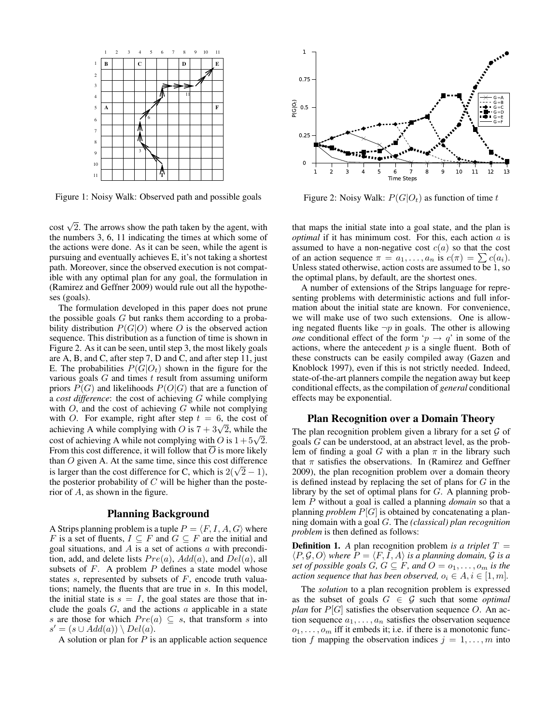

Figure 1: Noisy Walk: Observed path and possible goals

 $\cot \sqrt{2}$ . The arrows show the path taken by the agent, with the numbers 3, 6, 11 indicating the times at which some of the actions were done. As it can be seen, while the agent is pursuing and eventually achieves E, it's not taking a shortest path. Moreover, since the observed execution is not compatible with any optimal plan for any goal, the formulation in (Ramirez and Geffner 2009) would rule out all the hypotheses (goals).

The formulation developed in this paper does not prune the possible goals  $G$  but ranks them according to a probability distribution  $P(G|O)$  where O is the observed action sequence. This distribution as a function of time is shown in Figure 2. As it can be seen, until step 3, the most likely goals are A, B, and C, after step 7, D and C, and after step 11, just E. The probabilities  $P(G|O_t)$  shown in the figure for the various goals  $G$  and times  $t$  result from assuming uniform priors  $P(G)$  and likelihoods  $P(O|G)$  that are a function of a *cost difference*: the cost of achieving G while complying with  $O$ , and the cost of achieving  $G$  while not complying with O. For example, right after step  $t = 6$ , the cost of with O. For example, right after step  $t = 6$ , the cost of achieving A while complying with O is  $7 + 3\sqrt{2}$ , while the achieving A while complying with O is  $t + 3\nabla t$ , while the cost of achieving A while not complying with O is  $1 + 5\sqrt{2}$ . From this cost difference, it will follow that  $\overline{O}$  is more likely than O given A. At the same time, since this cost difference than  $\sigma$  given A. At the same time, since this cost difference is larger than the cost difference for C, which is  $2(\sqrt{2}-1)$ , the posterior probability of  $C$  will be higher than the posterior of A, as shown in the figure.

## Planning Background

A Strips planning problem is a tuple  $P = \langle F, I, A, G \rangle$  where F is a set of fluents,  $I \subseteq F$  and  $G \subseteq F$  are the initial and goal situations, and  $A$  is a set of actions  $a$  with precondition, add, and delete lists  $Pre(a)$ ,  $Add(a)$ , and  $Del(a)$ , all subsets of  $F$ . A problem  $P$  defines a state model whose states  $s$ , represented by subsets of  $F$ , encode truth valuations; namely, the fluents that are true in s. In this model, the initial state is  $s = I$ , the goal states are those that include the goals  $G$ , and the actions  $a$  applicable in a state s are those for which  $Pre(a) \subseteq s$ , that transform s into  $s' = (s \cup Add(a)) \setminus Del(a).$ 

A solution or plan for  $P$  is an applicable action sequence



Figure 2: Noisy Walk:  $P(G|O_t)$  as function of time t

that maps the initial state into a goal state, and the plan is *optimal* if it has minimum cost. For this, each action a is assumed to have a non-negative cost  $c(a)$  so that the cost of an action sequence  $\pi = a_1, \ldots, a_n$  is  $c(\pi) = \sum c(a_i)$ . Unless stated otherwise, action costs are assumed to be 1, so the optimal plans, by default, are the shortest ones.

A number of extensions of the Strips language for representing problems with deterministic actions and full information about the initial state are known. For convenience, we will make use of two such extensions. One is allowing negated fluents like  $\neg p$  in goals. The other is allowing *one* conditional effect of the form ' $p \rightarrow q$ ' in some of the actions, where the antecedent  $p$  is a single fluent. Both of these constructs can be easily compiled away (Gazen and Knoblock 1997), even if this is not strictly needed. Indeed, state-of-the-art planners compile the negation away but keep conditional effects, as the compilation of *general* conditional effects may be exponential.

#### Plan Recognition over a Domain Theory

The plan recognition problem given a library for a set  $G$  of goals G can be understood, at an abstract level, as the problem of finding a goal G with a plan  $\pi$  in the library such that  $\pi$  satisfies the observations. In (Ramirez and Geffner 2009), the plan recognition problem over a domain theory is defined instead by replacing the set of plans for  $G$  in the library by the set of optimal plans for G. A planning problem P without a goal is called a planning *domain* so that a planning *problem* P[G] is obtained by concatenating a planning domain with a goal G. The *(classical) plan recognition problem* is then defined as follows:

**Definition 1.** A plan recognition problem *is a triplet*  $T =$  $\langle P, \mathcal{G}, O \rangle$  *where*  $P = \langle F, I, A \rangle$  *is a planning domain,*  $\mathcal{G}$  *is a set of possible goals*  $G, G \subseteq F$ *, and*  $O = o_1, \ldots, o_m$  *is the action sequence that has been observed,*  $o_i \in A, i \in [1, m]$ .

The *solution* to a plan recognition problem is expressed as the subset of goals  $G \in \mathcal{G}$  such that some *optimal plan* for  $P[G]$  satisfies the observation sequence O. An action sequence  $a_1, \ldots, a_n$  satisfies the observation sequence  $o_1, \ldots, o_m$  iff it embeds it; i.e. if there is a monotonic function f mapping the observation indices  $j = 1, \ldots, m$  into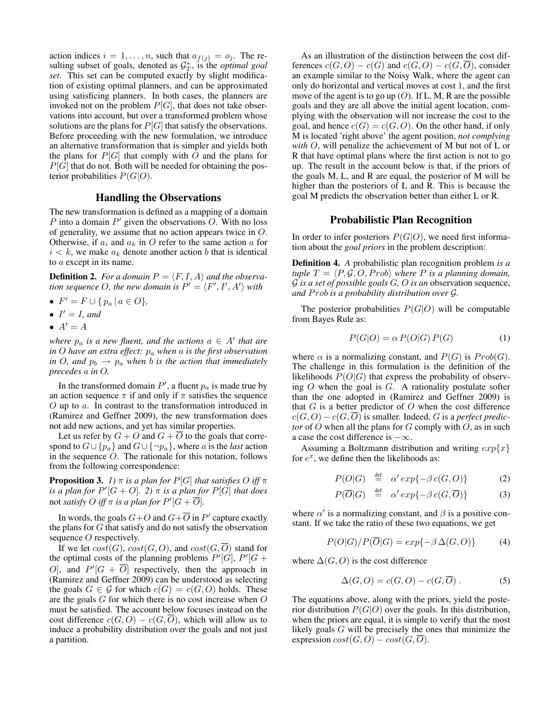action indices  $i = 1, \ldots, n$ , such that  $a_{f(j)} = o_j$ . The resulting subset of goals, denoted as  $G_T^*$ , is the *optimal goal set*. This set can be computed exactly by slight modification of existing optimal planners, and can be approximated using satisficing planners. In both cases, the planners are invoked not on the problem  $P[G]$ , that does not take observations into account, but over a transformed problem whose solutions are the plans for  $P[G]$  that satisfy the observations. Before proceeding with the new formulation, we introduce an alternative transformation that is simpler and yields both the plans for  $P[G]$  that comply with O and the plans for  $P[G]$  that do not. Both will be needed for obtaining the posterior probabilities  $P(G|O)$ .

## Handling the Observations

The new transformation is defined as a mapping of a domain P into a domain  $P'$  given the observations  $O$ . With no loss of generality, we assume that no action appears twice in O. Otherwise, if  $a_i$  and  $a_k$  in O refer to the same action a for  $i < k$ , we make  $a_k$  denote another action b that is identical to a except in its name.

**Definition 2.** For a domain  $P = \langle F, I, A \rangle$  and the observa*tion sequence O, the new domain is*  $P' = \langle F', I', A' \rangle$  *with* 

- $F' = F \cup \{ p_a \mid a \in O \},\$
- $I' = I$ *, and*
- $A'=A$

*where*  $p_a$  *is a new fluent, and the actions*  $a \in A'$  *that are in* O *have an extra effect:* p<sup>a</sup> *when* a *is the first observation in* O, and  $p_b \rightarrow p_a$  *when b is the action that immediately precedes* a *in* O*.*

In the transformed domain  $P'$ , a fluent  $p_a$  is made true by an action sequence  $\pi$  if and only if  $\pi$  satisfies the sequence O up to a. In contrast to the transformation introduced in (Ramirez and Geffner 2009), the new transformation does not add new actions, and yet has similar properties.

Let us refer by  $G + O$  and  $G + O$  to the goals that correspond to  $G \cup \{p_a\}$  and  $G \cup \{\neg p_a\}$ , where a is the *last* action in the sequence  $O$ . The rationale for this notation, follows from the following correspondence:

**Proposition 3.** *1*)  $\pi$  *is a plan for*  $P[G]$  *that satisfies* O *iff*  $\pi$ *is a plan for*  $P'[G + O]$ . 2)  $\pi$  *is a plan for*  $P[G]$  *that does* not *satisfy*  $O$  *iff*  $\pi$  *is a plan for*  $P'[G + \overline{O}]$ *.* 

In words, the goals  $G+O$  and  $G+\overline{O}$  in  $P'$  capture exactly the plans for  $G$  that satisfy and do not satisfy the observation sequence *O* respectively.

If we let  $cost(G)$ ,  $cost(G, O)$ , and  $cost(G, \overline{O})$  stand for the optimal costs of the planning problems  $P'[G], P'[G]$ O], and  $P'[G + \overline{O}]$  respectively, then the approach in (Ramirez and Geffner 2009) can be understood as selecting the goals  $G \in \mathcal{G}$  for which  $c(G) = c(G, O)$  holds. These are the goals  $G$  for which there is no cost increase when  $O$ must be satisfied. The account below focuses instead on the cost difference  $c(G, O) - c(G, O)$ , which will allow us to induce a probability distribution over the goals and not just a partition.

As an illustration of the distinction between the cost differences  $c(G, O) - c(G)$  and  $c(G, O) - c(G, \overline{O})$ , consider an example similar to the Noisy Walk, where the agent can only do horizontal and vertical moves at cost 1, and the first move of the agent is to go up  $(O)$ . If L, M, R are the possible goals and they are all above the initial agent location, complying with the observation will not increase the cost to the goal, and hence  $c(G) = c(G, O)$ . On the other hand, if only M is located 'right above' the agent position, *not complying with* O, will penalize the achievement of M but not of L or R that have optimal plans where the first action is not to go up. The result in the account below is that, if the priors of the goals M, L, and R are equal, the posterior of M will be higher than the posteriors of L and R. This is because the goal M predicts the observation better than either L or R.

#### Probabilistic Plan Recognition

In order to infer posteriors  $P(G|O)$ , we need first information about the *goal priors* in the problem description:

Definition 4. *A* probabilistic plan recognition problem *is a tuple*  $T = \langle P, \mathcal{G}, O, Prob \rangle$  *where P is a planning domain,* G *is a set of possible goals* G*,* O *is an* observation sequence, *and Prob is a probability distribution over G.* 

The posterior probabilities  $P(G|O)$  will be computable from Bayes Rule as:

$$
P(G|O) = \alpha \, P(O|G) \, P(G) \tag{1}
$$

where  $\alpha$  is a normalizing constant, and  $P(G)$  is  $Prob(G)$ . The challenge in this formulation is the definition of the likelihoods  $P(O|G)$  that express the probability of observing  $O$  when the goal is  $G$ . A rationality postulate softer than the one adopted in (Ramirez and Geffner 2009) is that  $G$  is a better predictor of  $O$  when the cost difference  $c(G, O) - c(G, \overline{O})$  is smaller. Indeed, G is a *perfect predictor* of O when all the plans for G comply with O, as in such a case the cost difference is  $-\infty$ .

Assuming a Boltzmann distribution and writing  $exp{x}$ for  $e^x$ , we define then the likelihoods as:

$$
P(O|G) \stackrel{\text{def}}{=} \alpha' \exp\{-\beta c(G, O)\} \tag{2}
$$

$$
P(\overline{O}|G) \stackrel{\text{def}}{=} \alpha' \exp\{-\beta c(G, \overline{O})\} \tag{3}
$$

where  $\alpha'$  is a normalizing constant, and  $\beta$  is a positive constant. If we take the ratio of these two equations, we get

$$
P(O|G)/P(\overline{O}|G) = exp{-\beta \Delta(G,O)}
$$
 (4)

where  $\Delta(G, O)$  is the cost difference

$$
\Delta(G, O) = c(G, O) - c(G, \overline{O}). \tag{5}
$$

The equations above, along with the priors, yield the posterior distribution  $P(G|O)$  over the goals. In this distribution, when the priors are equal, it is simple to verify that the most likely goals G will be precisely the ones that minimize the expression  $cost(G, O) - cost(G, \overline{O}).$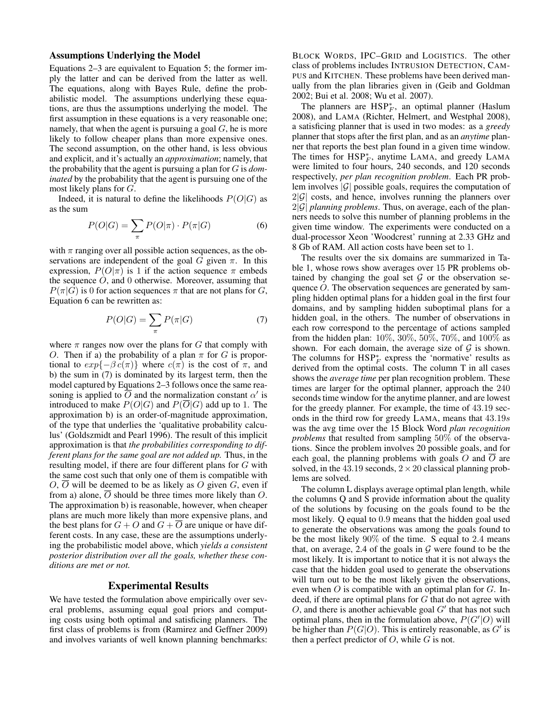# Assumptions Underlying the Model

Equations 2–3 are equivalent to Equation 5; the former imply the latter and can be derived from the latter as well. The equations, along with Bayes Rule, define the probabilistic model. The assumptions underlying these equations, are thus the assumptions underlying the model. The first assumption in these equations is a very reasonable one; namely, that when the agent is pursuing a goal  $G$ , he is more likely to follow cheaper plans than more expensive ones. The second assumption, on the other hand, is less obvious and explicit, and it's actually an *approximation*; namely, that the probability that the agent is pursuing a plan for G is *dominated* by the probability that the agent is pursuing one of the most likely plans for G.

Indeed, it is natural to define the likelihoods  $P(O|G)$  as as the sum

$$
P(O|G) = \sum_{\pi} P(O|\pi) \cdot P(\pi|G)
$$
 (6)

with  $\pi$  ranging over all possible action sequences, as the observations are independent of the goal G given  $\pi$ . In this expression,  $P(O|\pi)$  is 1 if the action sequence  $\pi$  embeds the sequence  $O$ , and  $O$  otherwise. Moreover, assuming that  $P(\pi|G)$  is 0 for action sequences  $\pi$  that are not plans for G, Equation 6 can be rewritten as:

$$
P(O|G) = \sum_{\pi} P(\pi|G) \tag{7}
$$

where  $\pi$  ranges now over the plans for G that comply with O. Then if a) the probability of a plan  $\pi$  for G is proportional to  $exp{-\beta c(\pi)}$  where  $c(\pi)$  is the cost of  $\pi$ , and b) the sum in (7) is dominated by its largest term, then the model captured by Equations 2–3 follows once the same reasoning is applied to  $\overline{O}$  and the normalization constant  $\alpha'$  is introduced to make  $P(O|G)$  and  $P(\overline{O}|G)$  add up to 1. The approximation b) is an order-of-magnitude approximation, of the type that underlies the 'qualitative probability calculus' (Goldszmidt and Pearl 1996). The result of this implicit approximation is that *the probabilities corresponding to different plans for the same goal are not added up.* Thus, in the resulting model, if there are four different plans for G with the same cost such that only one of them is compatible with  $O$ ,  $\overline{O}$  will be deemed to be as likely as O given G, even if from a) alone, O should be three times more likely than O. The approximation b) is reasonable, however, when cheaper plans are much more likely than more expensive plans, and the best plans for  $G + O$  and  $G + \overline{O}$  are unique or have different costs. In any case, these are the assumptions underlying the probabilistic model above, which *yields a consistent posterior distribution over all the goals, whether these conditions are met or not.*

# Experimental Results

We have tested the formulation above empirically over several problems, assuming equal goal priors and computing costs using both optimal and satisficing planners. The first class of problems is from (Ramirez and Geffner 2009) and involves variants of well known planning benchmarks:

BLOCK WORDS, IPC–GRID and LOGISTICS. The other class of problems includes INTRUSION DETECTION, CAM-PUS and KITCHEN. These problems have been derived manually from the plan libraries given in (Geib and Goldman 2002; Bui et al. 2008; Wu et al. 2007).

The planners are  $HSP_F^*$ , an optimal planner (Haslum 2008), and LAMA (Richter, Helmert, and Westphal 2008), a satisficing planner that is used in two modes: as a *greedy* planner that stops after the first plan, and as an *anytime* planner that reports the best plan found in a given time window. The times for  $HSP_F^*$ , anytime LAMA, and greedy LAMA were limited to four hours, 240 seconds, and 120 seconds respectively, *per plan recognition problem*. Each PR problem involves  $|\mathcal{G}|$  possible goals, requires the computation of  $2|\mathcal{G}|$  costs, and hence, involves running the planners over  $2|\mathcal{G}|$  *planning problems*. Thus, on average, each of the planners needs to solve this number of planning problems in the given time window. The experiments were conducted on a dual-processor Xeon 'Woodcrest' running at 2.33 GHz and 8 Gb of RAM. All action costs have been set to 1.

The results over the six domains are summarized in Table 1, whose rows show averages over 15 PR problems obtained by changing the goal set  $G$  or the observation sequence  $O$ . The observation sequences are generated by sampling hidden optimal plans for a hidden goal in the first four domains, and by sampling hidden suboptimal plans for a hidden goal, in the others. The number of observations in each row correspond to the percentage of actions sampled from the hidden plan: 10%, 30%, 50%, 70%, and 100% as shown. For each domain, the average size of  $G$  is shown. The columns for  $HSP_F^*$  express the 'normative' results as derived from the optimal costs. The column T in all cases shows the *average time* per plan recognition problem. These times are larger for the optimal planner, approach the 240 seconds time window for the anytime planner, and are lowest for the greedy planner. For example, the time of 43.19 seconds in the third row for greedy LAMA, means that 43.19s was the avg time over the 15 Block Word *plan recognition problems* that resulted from sampling 50% of the observations. Since the problem involves 20 possible goals, and for each goal, the planning problems with goals O and  $\overline{O}$  are solved, in the 43.19 seconds,  $2 \times 20$  classical planning problems are solved.

The column L displays average optimal plan length, while the columns Q and S provide information about the quality of the solutions by focusing on the goals found to be the most likely. Q equal to 0.9 means that the hidden goal used to generate the observations was among the goals found to be the most likely 90% of the time. S equal to 2.4 means that, on average, 2.4 of the goals in  $G$  were found to be the most likely. It is important to notice that it is not always the case that the hidden goal used to generate the observations will turn out to be the most likely given the observations, even when  $O$  is compatible with an optimal plan for  $G$ . Indeed, if there are optimal plans for  $G$  that do not agree with  $O$ , and there is another achievable goal  $G'$  that has not such optimal plans, then in the formulation above,  $P(G'|O)$  will be higher than  $P(G|O)$ . This is entirely reasonable, as  $G'$  is then a perfect predictor of  $O$ , while  $G$  is not.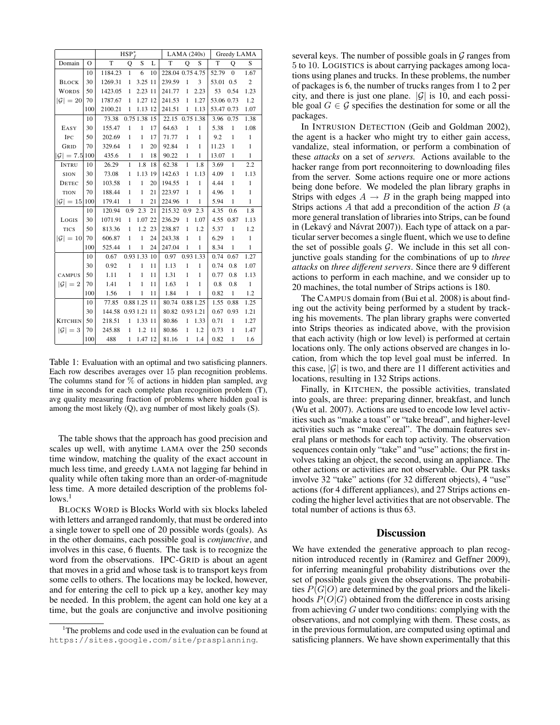|                           |                | $HSP_{f}^{*}$       |              |              |    | LAMA(240s)       |              |              | Greedy LAMA |              |                |
|---------------------------|----------------|---------------------|--------------|--------------|----|------------------|--------------|--------------|-------------|--------------|----------------|
| Domain                    | $\overline{O}$ | T.                  | $\mathbf Q$  | S            | L  | T                | Q            | S            | T           | $\mathbf{O}$ | S              |
|                           | 10             | 1184.23             | 1            | 6            | 10 | 228.04 0.75 4.75 |              |              | 52.79       | $\mathbf{0}$ | 1.67           |
| <b>BLOCK</b>              | 30             | 1269.31             | $\mathbf{1}$ | 3.25 11      |    | 239.59           | $\mathbf{1}$ | 3            | 53.01 0.5   |              | $\overline{2}$ |
| <b>WORDS</b>              | 50             | 1423.05             | $\mathbf{1}$ | 2.23 11      |    | 241.77           | $\mathbf{1}$ | 2.23         | 53          | 0.54         | 1.23           |
| $ \mathcal{G} =20$        | 70             | 1787.67             | 1            | 1.27 12      |    | 241.53           | $\mathbf{1}$ | 1.27         | 53.06 0.73  |              | 1.2            |
|                           | 100            | 2100.21             | $\mathbf{1}$ | 1.13 12      |    | 241.51           | $\mathbf{1}$ | 1.13         | 53.47 0.73  |              | 1.07           |
|                           | 10             | 73.38               |              | 0.75 1.38 15 |    | 22.15 0.75 1.38  |              |              | 3.96 0.75   |              | 1.38           |
| EASY                      | 30             | 155.47              | $\mathbf{1}$ | $\mathbf{1}$ | 17 | 64.63            | $\mathbf{1}$ | 1            | 5.38        | $\mathbf{1}$ | 1.08           |
| IPC                       | 50             | 202.69              | $\mathbf{1}$ | $\mathbf{1}$ | 17 | 71.77            | $\mathbf{1}$ | $\mathbf{1}$ | 9.2         | $\mathbf{1}$ | $\mathbf{1}$   |
| GRID                      | 70             | 329.64              | $\mathbf{1}$ | $\mathbf{1}$ | 20 | 92.84            | $\mathbf{1}$ | $\mathbf{1}$ | 11.23       | $\mathbf{1}$ | $\mathbf{1}$   |
| $ \mathcal{G}  = 7.5 100$ |                | 435.6               | $\mathbf{1}$ | $\mathbf{1}$ | 18 | 90.22            | $\mathbf{1}$ | $\mathbf{1}$ | 13.07       | 1            | $\mathbf{1}$   |
| <b>INTRU</b>              | 10             | 26.29               | $\mathbf{1}$ | 1.8          | 18 | 62.38            | $\mathbf{1}$ | 1.8          | 3.69        | $\mathbf{1}$ | 2.2            |
| SION                      | 30             | 73.08               | $\mathbf{1}$ | 1.13 19      |    | 142.63           | $\mathbf{1}$ | 1.13         | 4.09        | $\mathbf{1}$ | 1.13           |
| <b>DETEC</b>              | 50             | 103.58              | $\mathbf{1}$ | $\mathbf{1}$ | 20 | 194.55           | $\mathbf{1}$ | $\mathbf{1}$ | 4.44        | $\mathbf{1}$ | $\mathbf{1}$   |
| <b>TION</b>               | 70             | 188.44              | $\mathbf{1}$ | $\mathbf{1}$ | 21 | 223.97           | $\mathbf{1}$ | $\mathbf{1}$ | 4.96        | $\mathbf{1}$ | $\mathbf{1}$   |
| $ \mathcal{G} =15 $       | 100            | 179.41              | $\mathbf{1}$ | $\mathbf{1}$ | 21 | 224.96           | $\mathbf{1}$ | $\mathbf{1}$ | 5.94        | $\mathbf{1}$ | $\mathbf{1}$   |
|                           | 10             | 120.94              | 0.9          | 2.3          | 21 | 215.32           | 0.9          | 2.3          | 4.35        | 0.6          | 1.8            |
| LOGIS                     | 30             | 1071.91             | $\mathbf{1}$ | 1.07 22      |    | 236.29           | $\mathbf{1}$ | 1.07         | 4.55 0.87   |              | 1.13           |
| <b>TICS</b>               | 50             | 813.36              | $\mathbf{1}$ | 1.2          | 23 | 238.87           | $\mathbf{1}$ | 1.2          | 5.37        | $\mathbf{1}$ | 1.2            |
| $ \mathcal{G} =10$        | 70             | 606.87              | $\mathbf{1}$ | 1            | 24 | 243.38           | $\mathbf{1}$ | $\mathbf{1}$ | 6.29        | $\mathbf{1}$ | $\mathbf{1}$   |
|                           | 100            | 525.44              | $\mathbf{1}$ | $\mathbf{1}$ | 24 | 247.04           | $\mathbf{1}$ | $\mathbf{1}$ | 8.34        | $\mathbf{1}$ | $\mathbf{1}$   |
|                           | 10             | 0.67                |              | 0.93 1.33 10 |    | 0.97             |              | 0.93 1.33    | 0.74 0.67   |              | 1.27           |
|                           | 30             | 0.92                | 1            | 1            | 11 | 1.13             | $\mathbf{1}$ | $\mathbf{1}$ | 0.74        | 0.8          | 1.07           |
| <b>CAMPUS</b>             | 50             | 1.11                | $\mathbf{1}$ | $\mathbf{1}$ | 11 | 1.31             | $\mathbf{1}$ | $\mathbf{1}$ | 0.77        | 0.8          | 1.13           |
| $ \mathcal{G} =2$         | 70             | 1.41                | $\mathbf{1}$ | $\mathbf{1}$ | 11 | 1.63             | $\mathbf{1}$ | $\mathbf{1}$ | 0.8         | 0.8          | $\mathbf{1}$   |
|                           | 100            | 1.56                | 1            | $\mathbf{1}$ | 11 | 1.84             | $\mathbf{1}$ | $\mathbf{1}$ | 0.82        | $\mathbf{1}$ | 1.2            |
|                           | 10             | 77.85               |              | 0.88 1.25 11 |    | 80.74 0.88 1.25  |              |              | 1.55        | 0.88         | 1.25           |
|                           | 30             | 144.58 0.93 1.21 11 |              |              |    | 80.82 0.93 1.21  |              |              | 0.67 0.93   |              | 1.21           |
| <b>KITCHEN</b>            | 50             | 218.51              | $\mathbf{1}$ | 1.33 11      |    | 80.86            | $\mathbf{1}$ | 1.33         | 0.71        | $\mathbf{1}$ | 1.27           |
| $ \mathcal{G} =3$         | 70             | 245.88              | $\mathbf{1}$ | 1.2 11       |    | 80.86            | $\mathbf{1}$ | 1.2          | 0.73        | $\mathbf{1}$ | 1.47           |
|                           | 100            | 488                 | 1            | 1.47 12      |    | 81.16            | $\mathbf{1}$ | 1.4          | 0.82        | $\mathbf{1}$ | 1.6            |

Table 1: Evaluation with an optimal and two satisficing planners. Each row describes averages over 15 plan recognition problems. The columns stand for  $\%$  of actions in hidden plan sampled, avg time in seconds for each complete plan recognition problem (T), avg quality measuring fraction of problems where hidden goal is among the most likely (Q), avg number of most likely goals (S).

The table shows that the approach has good precision and scales up well, with anytime LAMA over the 250 seconds time window, matching the quality of the exact account in much less time, and greedy LAMA not lagging far behind in quality while often taking more than an order-of-magnitude less time. A more detailed description of the problems fol $lows.<sup>1</sup>$ 

BLOCKS WORD is Blocks World with six blocks labeled with letters and arranged randomly, that must be ordered into a single tower to spell one of 20 possible words (goals). As in the other domains, each possible goal is *conjunctive*, and involves in this case, 6 fluents. The task is to recognize the word from the observations. IPC-GRID is about an agent that moves in a grid and whose task is to transport keys from some cells to others. The locations may be locked, however, and for entering the cell to pick up a key, another key may be needed. In this problem, the agent can hold one key at a time, but the goals are conjunctive and involve positioning several keys. The number of possible goals in  $\mathcal G$  ranges from 5 to 10. LOGISTICS is about carrying packages among locations using planes and trucks. In these problems, the number of packages is 6, the number of trucks ranges from 1 to 2 per city, and there is just one plane.  $|\mathcal{G}|$  is 10, and each possible goal  $G \in \mathcal{G}$  specifies the destination for some or all the packages.

In INTRUSION DETECTION (Geib and Goldman 2002), the agent is a hacker who might try to either gain access, vandalize, steal information, or perform a combination of these *attacks* on a set of *servers.* Actions available to the hacker range from port reconnoitering to downloading files from the server. Some actions require one or more actions being done before. We modeled the plan library graphs in Strips with edges  $A \rightarrow B$  in the graph being mapped into Strips actions  $A$  that add a precondition of the action  $B$  (a more general translation of libraries into Strips, can be found in (Lekavý and Návrat 2007)). Each type of attack on a particular server becomes a single fluent, which we use to define the set of possible goals  $G$ . We include in this set all conjunctive goals standing for the combinations of up to *three attacks* on *three different servers*. Since there are 9 different actions to perform in each machine, and we consider up to 20 machines, the total number of Strips actions is 180.

The CAMPUS domain from (Bui et al. 2008) is about finding out the activity being performed by a student by tracking his movements. The plan library graphs were converted into Strips theories as indicated above, with the provision that each activity (high or low level) is performed at certain locations only. The only actions observed are changes in location, from which the top level goal must be inferred. In this case,  $|\mathcal{G}|$  is two, and there are 11 different activities and locations, resulting in 132 Strips actions.

Finally, in KITCHEN, the possible activities, translated into goals, are three: preparing dinner, breakfast, and lunch (Wu et al. 2007). Actions are used to encode low level activities such as "make a toast" or "take bread", and higher-level activities such as "make cereal". The domain features several plans or methods for each top activity. The observation sequences contain only "take" and "use" actions; the first involves taking an object, the second, using an appliance. The other actions or activities are not observable. Our PR tasks involve 32 "take" actions (for 32 different objects), 4 "use" actions (for 4 different appliances), and 27 Strips actions encoding the higher level activities that are not observable. The total number of actions is thus 63.

## **Discussion**

We have extended the generative approach to plan recognition introduced recently in (Ramirez and Geffner 2009), for inferring meaningful probability distributions over the set of possible goals given the observations. The probabilities  $P(G|O)$  are determined by the goal priors and the likelihoods  $P(O|G)$  obtained from the difference in costs arising from achieving  $G$  under two conditions: complying with the observations, and not complying with them. These costs, as in the previous formulation, are computed using optimal and satisficing planners. We have shown experimentally that this

<sup>&</sup>lt;sup>1</sup>The problems and code used in the evaluation can be found at https://sites.google.com/site/prasplanning.